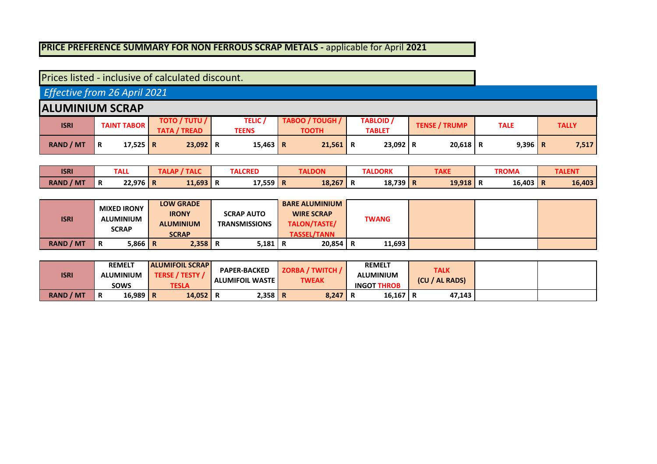## **PRICE PREFERENCE SUMMARY FOR NON FERROUS SCRAP METALS -** applicable for April **2021**

| Prices listed - inclusive of calculated discount. |   |                    |                                             |                                |                                 |   |                                   |                      |             |              |
|---------------------------------------------------|---|--------------------|---------------------------------------------|--------------------------------|---------------------------------|---|-----------------------------------|----------------------|-------------|--------------|
| Effective from 26 April 2021                      |   |                    |                                             |                                |                                 |   |                                   |                      |             |              |
| <b>IALUMINIUM SCRAP</b>                           |   |                    |                                             |                                |                                 |   |                                   |                      |             |              |
| <b>ISRI</b>                                       |   | <b>TAINT TABOR</b> | <b>TOTO / TUTU /</b><br><b>TATA / TREAD</b> | <b>TELIC</b> /<br><b>TEENS</b> | TABOO / TOUGH /<br><b>TOOTH</b> |   | <b>TABLOID</b> /<br><b>TABLET</b> | <b>TENSE / TRUMP</b> | <b>TALE</b> | <b>TALLY</b> |
| <b>RAND / MT</b>                                  | R | 17,525 R           | $23,092$ R                                  | 15,463 R                       | 21,561                          | R | $23,092$ R                        | $20,618$ R           | $9,396$ R   | 7,517        |

| <b>ISRI</b>      |   | <b>TALL</b> | TALAP<br>7 I ALC | <b>TALCRED</b> | <b>TALDON</b> | <b>TALDORK</b> | TAKE   | <b>TROMA</b> |   | TALEN1 |
|------------------|---|-------------|------------------|----------------|---------------|----------------|--------|--------------|---|--------|
| <b>RAND / MT</b> | n | $22,976$ R  | 11,693 R         | 17,559 R       | $18,267$ R    | $18,739$ R     | 19,918 | <br>16,403   | n | 16,403 |

| <b>ISRI</b>      | <b>MIXED IRONY</b><br><b>ALUMINIUM</b><br><b>SCRAP</b> | <b>LOW GRADE</b><br><b>IRONY</b><br><b>ALUMINIUM</b><br><b>SCRAP</b> | <b>SCRAP AUTO</b><br><b>TRANSMISSIONS</b> | <b>BARE ALUMINIUM</b><br><b>WIRE SCRAP</b><br>TALON/TASTE/<br><b>TASSEL/TANN</b> | <b>TWANG</b> |  |  |
|------------------|--------------------------------------------------------|----------------------------------------------------------------------|-------------------------------------------|----------------------------------------------------------------------------------|--------------|--|--|
| <b>RAND / MT</b> | $5,866$ R<br>R                                         | $2,358$ R                                                            | 5,181   R                                 | $20,854$ R                                                                       | 11,693       |  |  |

| <b>ISRI</b>      | <b>REMELT</b><br><b>ALUMINIUM</b> | <b>ALUMIFOIL SCRAP</b><br><b>TERSE / TESTY /</b> | <b>PAPER-BACKED</b><br><b>ALUMIFOIL WASTE</b> | <b>ZORBA / TWITCH /</b><br><b>TWEAK</b> | <b>REMELT</b><br>ALUMINIUM | TALK<br>(CU / AL RADS) |  |
|------------------|-----------------------------------|--------------------------------------------------|-----------------------------------------------|-----------------------------------------|----------------------------|------------------------|--|
|                  | <b>SOWS</b>                       | TESLA                                            |                                               |                                         | <b>INGOT THROB</b>         |                        |  |
| <b>RAND / MT</b> | 16,989 R<br>Ð<br>R                | 14,052                                           | $2,358$ R<br>R                                | 8,247                                   | $16,167$ R<br>n            | 47.143                 |  |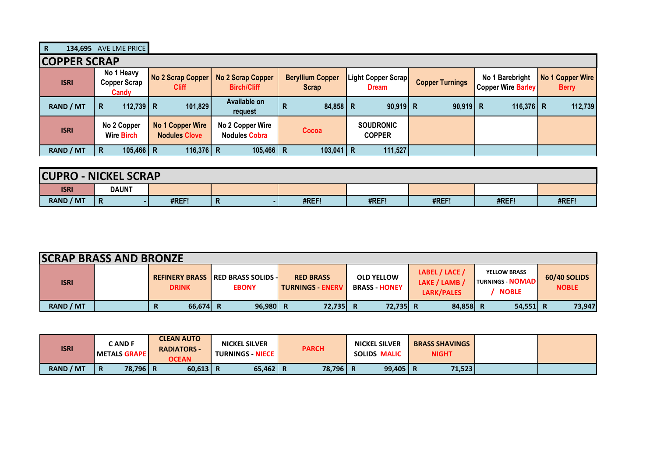| <b>COPPER SCRAP</b> |                                            |                                                 |                                          |                                         |                                                   |                        |                                              |                                  |
|---------------------|--------------------------------------------|-------------------------------------------------|------------------------------------------|-----------------------------------------|---------------------------------------------------|------------------------|----------------------------------------------|----------------------------------|
| <b>ISRI</b>         | No 1 Heavy<br><b>Copper Scrap</b><br>Candy | No 2 Scrap Copper<br><b>Cliff</b>               | No 2 Scrap Copper<br><b>Birch/Cliff</b>  | <b>Beryllium Copper</b><br><b>Scrap</b> | Light Copper Scrap <mark> </mark><br><b>Dream</b> | <b>Copper Turnings</b> | No 1 Barebright<br><b>Copper Wire Barley</b> | No 1 Copper Wire<br><b>Berry</b> |
| <b>RAND / MT</b>    | 112,739 R<br>R                             | 101,829                                         | Available on<br>request                  | 84,858 R<br>$\mathsf{R}$                | $90,919$ R                                        | $90,919$ R             | 116,376 R                                    | 112,739                          |
| <b>ISRI</b>         | No 2 Copper<br><b>Wire Birch</b>           | <b>No 1 Copper Wire</b><br><b>Nodules Clove</b> | No 2 Copper Wire<br><b>Nodules Cobra</b> | Cocoa                                   | <b>SOUDRONIC</b><br><b>COPPER</b>                 |                        |                                              |                                  |
| <b>RAND / MT</b>    | $105,466$ R<br>R                           | 116,376 R                                       | $105,466$ R                              | $103,041$ R                             | 111,527                                           |                        |                                              |                                  |

| <b>ICUPRO</b>    | <b>J - NICKEL SCRAP</b> |       |   |       |       |       |       |       |
|------------------|-------------------------|-------|---|-------|-------|-------|-------|-------|
| <b>ISRI</b>      | <b>DAUNT</b>            |       |   |       |       |       |       |       |
| <b>RAND / MT</b> | $\mathbf R$             | #REF! | n | #REF! | #REF! | #REF! | #REF! | #REF! |

| <b>SCRAP BRASS AND BRONZE</b> |              |                                                           |                                             |                                         |                                               |                                                               |                              |
|-------------------------------|--------------|-----------------------------------------------------------|---------------------------------------------|-----------------------------------------|-----------------------------------------------|---------------------------------------------------------------|------------------------------|
| <b>ISRI</b>                   | <b>DRINK</b> | <b>REFINERY BRASS IRED BRASS SOLIDS -</b><br><b>EBONY</b> | <b>RED BRASS</b><br><b>TURNINGS - ENERV</b> | <b>OLD YELLOW</b><br><b>BRASS HONEY</b> | LABEL / LACE /<br>LAKE / LAMB /<br>LARK/PALES | <b>YELLOW BRASS</b><br><b>TURNINGS NOMADL</b><br><b>NOBLE</b> | 60/40 SOLIDS<br><b>NOBLE</b> |
| <b>RAND / MT</b>              | $66,674$ R   | 96,980                                                    | 72,735 R                                    | 72,735 R                                | 84,858 R                                      | $54,551$ R                                                    | 73,947                       |

| <b>ISRI</b>      |                | <b>CAND F</b><br><b>I METALS GRAPE I</b> | <b>CLEAN AUTO</b><br><b>RADIATORS -</b><br><b>OCEAN</b> | <b>NICKEL SILVER</b><br><b>TURNINGS - NIECE  </b> | <b>PARCH</b> | <b>NICKEL SILVER</b><br><b>SOLIDS MALIC</b> | <b>BRASS SHAVINGS</b><br><b>NIGHT</b> |  |
|------------------|----------------|------------------------------------------|---------------------------------------------------------|---------------------------------------------------|--------------|---------------------------------------------|---------------------------------------|--|
| <b>RAND / MT</b> | $\overline{R}$ | 78,796 R                                 | $60,613$ R                                              | $65,462$ R                                        | 78,796       | $99,405$ R                                  | 71,523                                |  |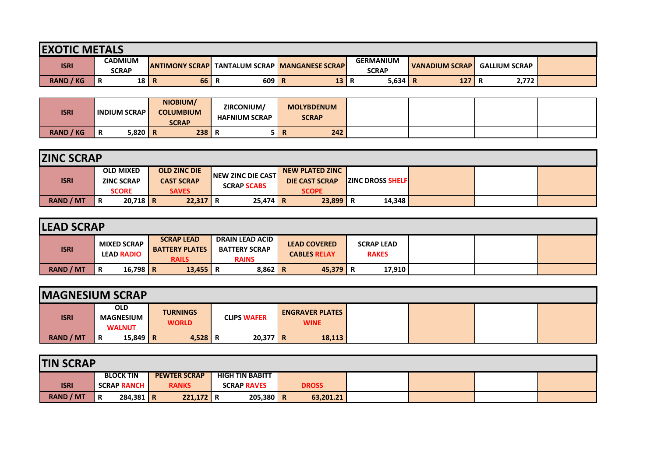| <b>EXOTIC METALS</b> |                                |          |    |                                                         |    |                                  |    |                  |                      |       |  |
|----------------------|--------------------------------|----------|----|---------------------------------------------------------|----|----------------------------------|----|------------------|----------------------|-------|--|
| <b>ISRI</b>          | <b>CADMIUM</b><br><b>SCRAP</b> |          |    | <b>LANTIMONY SCRAPL TANTALUM SCRAP IMANGANESE SCRAP</b> |    | <b>GERMANIUM</b><br><b>SCRAP</b> |    | I VANADIUM SCRAP | <b>GALLIUM SCRAP</b> |       |  |
| <b>RAND / KG</b>     | R                              | $18$   R | 66 | 609 R<br>n                                              | 13 | 5,634                            | -R | 127              | R                    | 2,772 |  |

| <b>ISRI</b>      |   | <b>INDIUM SCRAPI</b> | NIOBIUM/<br><b>COLUMBIUM</b><br><b>SCRAP</b> | ZIRCONIUM/<br><b>HAFNIUM SCRAP</b> |          | <b>MOLYBDENUM</b><br><b>SCRAP</b> |  |  |
|------------------|---|----------------------|----------------------------------------------|------------------------------------|----------|-----------------------------------|--|--|
| <b>RAND / KG</b> | R | $5,820$ R            | $238$ R                                      | n                                  | m<br>TV. | 242                               |  |  |

| <b>ZINC SCRAP</b> |   |                                                       |                                                          |                                                |                                                                 |                         |  |  |
|-------------------|---|-------------------------------------------------------|----------------------------------------------------------|------------------------------------------------|-----------------------------------------------------------------|-------------------------|--|--|
| <b>ISRI</b>       |   | <b>OLD MIXED</b><br><b>ZINC SCRAP</b><br><b>SCORE</b> | <b>OLD ZINC DIE</b><br><b>CAST SCRAP</b><br><b>SAVES</b> | <b>NEW ZINC DIE CAST</b><br><b>SCRAP SCABS</b> | <b>NEW PLATED ZINC</b><br><b>DIE CAST SCRAP</b><br><b>SCOPE</b> | <b>ZINC DROSS SHELF</b> |  |  |
| <b>RAND / MT</b>  | R | $20,718$ R                                            | $22,317$ R                                               | $25,474$ R                                     | 23,899                                                          | 14,348                  |  |  |

| <b>LEAD SCRAP</b> |                                         |                                                            |                                                                |                                            |                                   |  |  |  |  |  |  |
|-------------------|-----------------------------------------|------------------------------------------------------------|----------------------------------------------------------------|--------------------------------------------|-----------------------------------|--|--|--|--|--|--|
| <b>ISRI</b>       | <b>MIXED SCRAP</b><br><b>LEAD RADIO</b> | <b>SCRAP LEAD</b><br><b>BATTERY PLATES</b><br><b>RAILS</b> | <b>DRAIN LEAD ACID</b><br><b>BATTERY SCRAP</b><br><b>RAINS</b> | <b>LEAD COVERED</b><br><b>CABLES RELAY</b> | <b>SCRAP LEAD</b><br><b>RAKES</b> |  |  |  |  |  |  |
| <b>RAND / MT</b>  | 16,798 R<br>R                           | $13,455$ R                                                 | $8,862$ R                                                      | $45,379$ R                                 | 17,910                            |  |  |  |  |  |  |

| <b>IMAGNESIUM SCRAP</b> |                             |                                                     |           |            |                                       |  |  |  |  |  |  |  |
|-------------------------|-----------------------------|-----------------------------------------------------|-----------|------------|---------------------------------------|--|--|--|--|--|--|--|
| <b>ISRI</b>             | <b>OLD</b><br><b>WALNUT</b> | <b>TURNINGS</b><br><b>MAGNESIUM</b><br><b>WORLD</b> |           |            | <b>ENGRAVER PLATES</b><br><b>WINE</b> |  |  |  |  |  |  |  |
| <b>RAND / MT</b>        | 15,849   R<br>R             |                                                     | $4,528$ R | $20,377$ R | 18,113                                |  |  |  |  |  |  |  |

| <b>TIN SCRAP</b> |                  |   |                    |  |                     |                        |                    |  |              |  |  |  |  |
|------------------|------------------|---|--------------------|--|---------------------|------------------------|--------------------|--|--------------|--|--|--|--|
|                  |                  |   | <b>BLOCK TIN</b>   |  | <b>PEWTER SCRAP</b> | <b>HIGH TIN BABITT</b> |                    |  |              |  |  |  |  |
|                  | <b>ISRI</b>      |   | <b>SCRAP RANCH</b> |  | <b>RANKS</b>        |                        | <b>SCRAP RAVES</b> |  | <b>DROSS</b> |  |  |  |  |
|                  | <b>RAND / MT</b> | R | $284,381$ R        |  | $221,172$ R         |                        | $205,380$ R        |  | 63,201.21    |  |  |  |  |